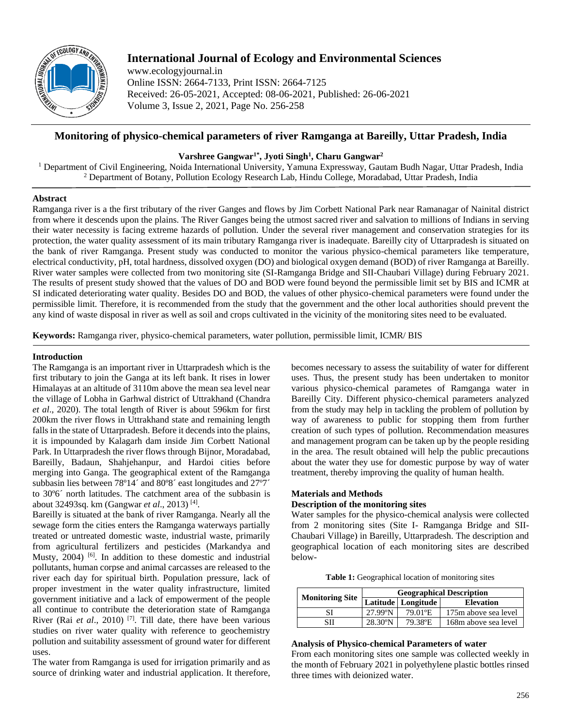

# **International Journal of Ecology and Environmental Sciences**

www.ecologyjournal.in Online ISSN: 2664-7133, Print ISSN: 2664-7125 Received: 26-05-2021, Accepted: 08-06-2021, Published: 26-06-2021 Volume 3, Issue 2, 2021, Page No. 256-258

## **Monitoring of physico-chemical parameters of river Ramganga at Bareilly, Uttar Pradesh, India**

## **Varshree Gangwar1\*, Jyoti Singh<sup>1</sup> , Charu Gangwar<sup>2</sup>**

<sup>1</sup> Department of Civil Engineering, Noida International University, Yamuna Expressway, Gautam Budh Nagar, Uttar Pradesh, India <sup>2</sup> Department of Botany, Pollution Ecology Research Lab, Hindu College, Moradabad, Uttar Pradesh, India

## **Abstract**

Ramganga river is a the first tributary of the river Ganges and flows by Jim Corbett National Park near Ramanagar of Nainital district from where it descends upon the plains. The River Ganges being the utmost sacred river and salvation to millions of Indians in serving their water necessity is facing extreme hazards of pollution. Under the several river management and conservation strategies for its protection, the water quality assessment of its main tributary Ramganga river is inadequate. Bareilly city of Uttarpradesh is situated on the bank of river Ramganga. Present study was conducted to monitor the various physico-chemical parameters like temperature, electrical conductivity, pH, total hardness, dissolved oxygen (DO) and biological oxygen demand (BOD) of river Ramganga at Bareilly. River water samples were collected from two monitoring site (SI-Ramganga Bridge and SII-Chaubari Village) during February 2021. The results of present study showed that the values of DO and BOD were found beyond the permissible limit set by BIS and ICMR at SI indicated deteriorating water quality. Besides DO and BOD, the values of other physico-chemical parameters were found under the permissible limit. Therefore, it is recommended from the study that the government and the other local authorities should prevent the any kind of waste disposal in river as well as soil and crops cultivated in the vicinity of the monitoring sites need to be evaluated.

**Keywords:** Ramganga river, physico-chemical parameters, water pollution, permissible limit, ICMR/ BIS

## **Introduction**

The Ramganga is an important river in Uttarpradesh which is the first tributary to join the Ganga at its left bank. It rises in lower Himalayas at an altitude of 3110m above the mean sea level near the village of Lobha in Garhwal district of Uttrakhand (Chandra *et al*., 2020). The total length of River is about 596km for first 200km the river flows in Uttrakhand state and remaining length falls in the state of Uttarpradesh. Before it decends into the plains, it is impounded by Kalagarh dam inside Jim Corbett National Park. In Uttarpradesh the river flows through Bijnor, Moradabad, Bareilly, Badaun, Shahjehanpur, and Hardoi cities before merging into Ganga. The geographical extent of the Ramganga subbasin lies between 78°14´ and 80°8´ east longitudes and 27°7´ to 30º6´ north latitudes. The catchment area of the subbasin is about 32493sq. km (Gangwar *et al*., 2013) [4] .

Bareilly is situated at the bank of river Ramganga. Nearly all the sewage form the cities enters the Ramganga waterways partially treated or untreated domestic waste, industrial waste, primarily from agricultural fertilizers and pesticides (Markandya and Musty, 2004)<sup>[6]</sup>. In addition to these domestic and industrial pollutants, human corpse and animal carcasses are released to the river each day for spiritual birth. Population pressure, lack of proper investment in the water quality infrastructure, limited government initiative and a lack of empowerment of the people all continue to contribute the deterioration state of Ramganga River (Rai *et al.*, 2010)<sup>[7]</sup>. Till date, there have been various studies on river water quality with reference to geochemistry pollution and suitability assessment of ground water for different uses.

The water from Ramganga is used for irrigation primarily and as source of drinking water and industrial application. It therefore,

becomes necessary to assess the suitability of water for different uses. Thus, the present study has been undertaken to monitor various physico-chemical parametes of Ramganga water in Bareilly City. Different physico-chemical parameters analyzed from the study may help in tackling the problem of pollution by way of awareness to public for stopping them from further creation of such types of pollution. Recommendation measures and management program can be taken up by the people residing in the area. The result obtained will help the public precautions about the water they use for domestic purpose by way of water treatment, thereby improving the quality of human health.

## **Materials and Methods Description of the monitoring sites**

Water samples for the physico-chemical analysis were collected from 2 monitoring sites (Site I- Ramganga Bridge and SII-Chaubari Village) in Bareilly, Uttarpradesh. The description and geographical location of each monitoring sites are described below-

| <b>Monitoring Site</b> | <b>Geographical Description</b> |                      |                      |  |  |
|------------------------|---------------------------------|----------------------|----------------------|--|--|
|                        |                                 | Latitude   Longitude | <b>Elevation</b>     |  |  |
| SI                     | $27.99^{\circ}$ N               | 79.01°E              | 175m above sea level |  |  |
| <b>SII</b>             | $28.30^{\circ}$ N               | 79.38°E              | 168m above sea level |  |  |

#### **Analysis of Physico-chemical Parameters of water**

From each monitoring sites one sample was collected weekly in the month of February 2021 in polyethylene plastic bottles rinsed three times with deionized water.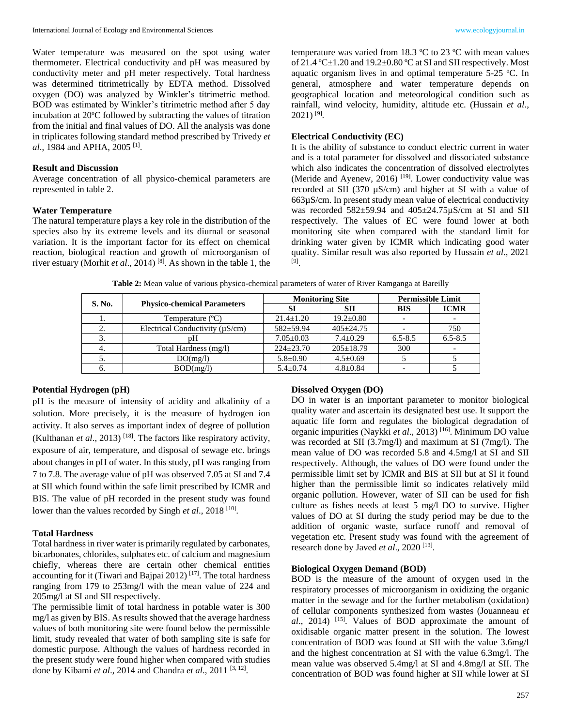Water temperature was measured on the spot using water thermometer. Electrical conductivity and pH was measured by conductivity meter and pH meter respectively. Total hardness was determined titrimetrically by EDTA method. Dissolved oxygen (DO) was analyzed by Winkler's titrimetric method. BOD was estimated by Winkler's titrimetric method after 5 day incubation at 20ºC followed by subtracting the values of titration from the initial and final values of DO. All the analysis was done in triplicates following standard method prescribed by Trivedy *et al.*, 1984 and APHA, 2005<sup>[1]</sup>.

#### **Result and Discussion**

Average concentration of all physico-chemical parameters are represented in table 2.

### **Water Temperature**

The natural temperature plays a key role in the distribution of the species also by its extreme levels and its diurnal or seasonal variation. It is the important factor for its effect on chemical reaction, biological reaction and growth of microorganism of river estuary (Morhit *et al*., 2014) [8] . As shown in the table 1, the

temperature was varied from 18.3 ºC to 23 ºC with mean values of 21.4  $^{\circ}$ C $\pm$ 1.20 and 19.2 $\pm$ 0.80  $^{\circ}$ C at SI and SII respectively. Most aquatic organism lives in and optimal temperature 5-25 ºC. In general, atmosphere and water temperature depends on geographical location and meteorological condition such as rainfall, wind velocity, humidity, altitude etc. (Hussain *et al*.,  $2021$ )<sup>[9]</sup>.

### **Electrical Conductivity (EC)**

It is the ability of substance to conduct electric current in water and is a total parameter for dissolved and dissociated substance which also indicates the concentration of dissolved electrolytes (Meride and Ayenew, 2016)<sup>[19]</sup>. Lower conductivity value was recorded at SII (370 µS/cm) and higher at SI with a value of 663µS/cm. In present study mean value of electrical conductivity was recorded 582±59.94 and 405±24.75µS/cm at SI and SII respectively. The values of EC were found lower at both monitoring site when compared with the standard limit for drinking water given by ICMR which indicating good water quality. Similar result was also reported by Hussain *et al*., 2021 [9] .

| S. No. |                                      | <b>Monitoring Site</b> |                 | <b>Permissible Limit</b> |             |
|--------|--------------------------------------|------------------------|-----------------|--------------------------|-------------|
|        | <b>Physico-chemical Parameters</b>   | SІ                     | SП              | <b>BIS</b>               | <b>ICMR</b> |
|        | Temperature (°C)                     | $21.4 \pm 1.20$        | $19.2 \pm 0.80$ |                          |             |
|        | Electrical Conductivity $(\mu S/cm)$ | $582+59.94$            | $405 \pm 24.75$ |                          | 750         |
|        | pH                                   | $7.05 \pm 0.03$        | $7.4 \pm 0.29$  | $6.5 - 8.5$              | $6.5 - 8.5$ |
| 4.     | Total Hardness (mg/l)                | $224 + 23.70$          | $205 \pm 18.79$ | 300                      |             |
|        | DO(mg/l)                             | $5.8 \pm 0.90$         | $4.5 \pm 0.69$  |                          |             |
|        | BOD(mg/l)                            | $5.4 \pm 0.74$         | $4.8 \pm 0.84$  |                          |             |

**Table 2:** Mean value of various physico-chemical parameters of water of River Ramganga at Bareilly

#### **Potential Hydrogen (pH)**

pH is the measure of intensity of acidity and alkalinity of a solution. More precisely, it is the measure of hydrogen ion activity. It also serves as important index of degree of pollution (Kulthanan *et al*., 2013) [18] . The factors like respiratory activity, exposure of air, temperature, and disposal of sewage etc. brings about changes in pH of water. In this study, pH was ranging from 7 to 7.8. The average value of pH was observed 7.05 at SI and 7.4 at SII which found within the safe limit prescribed by ICMR and BIS. The value of pH recorded in the present study was found lower than the values recorded by Singh *et al.*, 2018<sup>[10]</sup>.

#### **Total Hardness**

Total hardness in river water is primarily regulated by carbonates, bicarbonates, chlorides, sulphates etc. of calcium and magnesium chiefly, whereas there are certain other chemical entities accounting for it (Tiwari and Bajpai  $2012$ )<sup>[17]</sup>. The total hardness ranging from 179 to 253mg/l with the mean value of 224 and 205mg/l at SI and SII respectively.

The permissible limit of total hardness in potable water is 300 mg/l as given by BIS. As results showed that the average hardness values of both monitoring site were found below the permissible limit, study revealed that water of both sampling site is safe for domestic purpose. Although the values of hardness recorded in the present study were found higher when compared with studies done by Kibami *et al*., 2014 and Chandra *et al*., 2011 [3, 12] .

#### **Dissolved Oxygen (DO)**

DO in water is an important parameter to monitor biological quality water and ascertain its designated best use. It support the aquatic life form and regulates the biological degradation of organic impurities (Naykki *et al*., 2013) [16] . Minimum DO value was recorded at SII (3.7mg/l) and maximum at SI (7mg/l). The mean value of DO was recorded 5.8 and 4.5mg/l at SI and SII respectively. Although, the values of DO were found under the permissible limit set by ICMR and BIS at SII but at SI it found higher than the permissible limit so indicates relatively mild organic pollution. However, water of SII can be used for fish culture as fishes needs at least 5 mg/l DO to survive. Higher values of DO at SI during the study period may be due to the addition of organic waste, surface runoff and removal of vegetation etc. Present study was found with the agreement of research done by Javed *et al.*, 2020<sup>[13]</sup>.

#### **Biological Oxygen Demand (BOD)**

BOD is the measure of the amount of oxygen used in the respiratory processes of microorganism in oxidizing the organic matter in the sewage and for the further metabolism (oxidation) of cellular components synthesized from wastes (Jouanneau *et al*., 2014) [15] . Values of BOD approximate the amount of oxidisable organic matter present in the solution. The lowest concentration of BOD was found at SII with the value 3.6mg/l and the highest concentration at SI with the value 6.3mg/l. The mean value was observed 5.4mg/l at SI and 4.8mg/l at SII. The concentration of BOD was found higher at SII while lower at SI